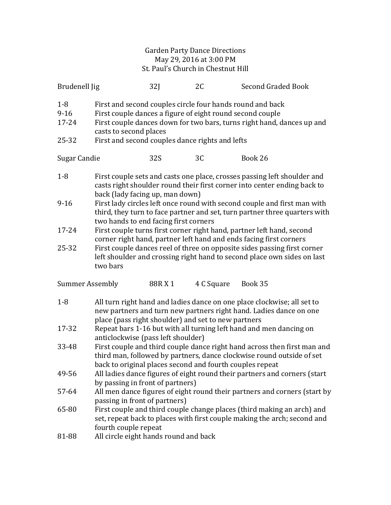## Garden Party Dance Directions May 29, 2016 at 3:00 PM St. Paul's Church in Chestnut Hill

| Brudenell Jig                                            |                                                                                                                                                                                                                                    | 32J        | 2C             | <b>Second Graded Book</b>                                                                                                                          |  |
|----------------------------------------------------------|------------------------------------------------------------------------------------------------------------------------------------------------------------------------------------------------------------------------------------|------------|----------------|----------------------------------------------------------------------------------------------------------------------------------------------------|--|
| $1 - 8$<br>$9 - 16$<br>17-24                             | First and second couples circle four hands round and back<br>First couple dances a figure of eight round second couple<br>First couple dances down for two bars, turns right hand, dances up and<br>casts to second places         |            |                |                                                                                                                                                    |  |
| 25-32                                                    | First and second couples dance rights and lefts                                                                                                                                                                                    |            |                |                                                                                                                                                    |  |
| Sugar Candie                                             |                                                                                                                                                                                                                                    | <b>32S</b> | 3 <sub>C</sub> | Book 26                                                                                                                                            |  |
| $1 - 8$                                                  | First couple sets and casts one place, crosses passing left shoulder and<br>casts right shoulder round their first corner into center ending back to                                                                               |            |                |                                                                                                                                                    |  |
| $9 - 16$                                                 | back (lady facing up, man down)<br>First lady circles left once round with second couple and first man with<br>third, they turn to face partner and set, turn partner three quarters with<br>two hands to end facing first corners |            |                |                                                                                                                                                    |  |
| 17-24                                                    | First couple turns first corner right hand, partner left hand, second<br>corner right hand, partner left hand and ends facing first corners                                                                                        |            |                |                                                                                                                                                    |  |
| 25-32                                                    | First couple dances reel of three on opposite sides passing first corner<br>left shoulder and crossing right hand to second place own sides on last<br>two bars                                                                    |            |                |                                                                                                                                                    |  |
| <b>Summer Assembly</b><br>88RX1<br>4 C Square<br>Book 35 |                                                                                                                                                                                                                                    |            |                |                                                                                                                                                    |  |
| $1 - 8$                                                  | All turn right hand and ladies dance on one place clockwise; all set to<br>new partners and turn new partners right hand. Ladies dance on one<br>place (pass right shoulder) and set to new partners                               |            |                |                                                                                                                                                    |  |
| 17-32                                                    | Repeat bars 1-16 but with all turning left hand and men dancing on<br>anticlockwise (pass left shoulder)                                                                                                                           |            |                |                                                                                                                                                    |  |
| 33-48                                                    | First couple and third couple dance right hand across then first man and<br>third man, followed by partners, dance clockwise round outside of set<br>back to original places second and fourth couples repeat                      |            |                |                                                                                                                                                    |  |
| 49-56                                                    | All ladies dance figures of eight round their partners and corners (start<br>by passing in front of partners)                                                                                                                      |            |                |                                                                                                                                                    |  |
| 57-64                                                    | All men dance figures of eight round their partners and corners (start by<br>passing in front of partners)                                                                                                                         |            |                |                                                                                                                                                    |  |
| 65-80                                                    | fourth couple repeat                                                                                                                                                                                                               |            |                | First couple and third couple change places (third making an arch) and<br>set, repeat back to places with first couple making the arch; second and |  |
| 81-88                                                    | All circle eight hands round and back                                                                                                                                                                                              |            |                |                                                                                                                                                    |  |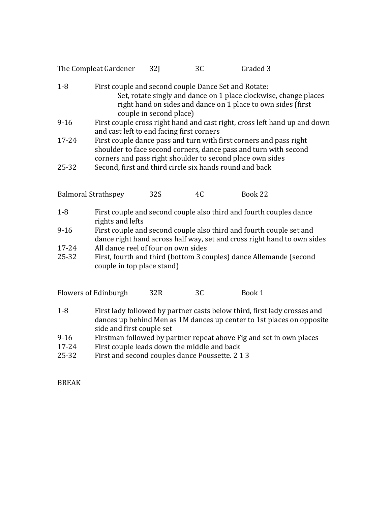| The Compleat Gardener | 32J | 3C | Graded 3 |
|-----------------------|-----|----|----------|
|-----------------------|-----|----|----------|

1-8 First couple and second couple Dance Set and Rotate: Set, rotate singly and dance on 1 place clockwise, change places right hand on sides and dance on 1 place to own sides (first couple in second place)

- 9-16 First couple cross right hand and cast right, cross left hand up and down and cast left to end facing first corners
- 17-24 First couple dance pass and turn with first corners and pass right shoulder to face second corners, dance pass and turn with second corners and pass right shoulder to second place own sides
- 25-32 Second, first and third circle six hands round and back

Balmoral Strathspey 32S 4C Book 22

- 1-8 First couple and second couple also third and fourth couples dance rights and lefts
- 9-16 First couple and second couple also third and fourth couple set and dance right hand across half way, set and cross right hand to own sides
- 17-24 All dance reel of four on own sides
- 25-32 First, fourth and third (bottom 3 couples) dance Allemande (second couple in top place stand)

Flowers of Edinburgh 32R 3C Book 1

- 1-8 First lady followed by partner casts below third, first lady crosses and dances up behind Men as 1M dances up center to 1st places on opposite side and first couple set
- 9-16 Firstman followed by partner repeat above Fig and set in own places
- 17-24 First couple leads down the middle and back
- 25-32 First and second couples dance Poussette. 2 1 3

BREAK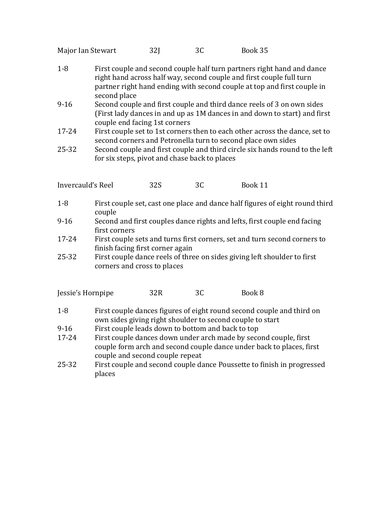| Major Ian Stewart | 32J | 3C | Book 35 |
|-------------------|-----|----|---------|
|-------------------|-----|----|---------|

- 1-8 First couple and second couple half turn partners right hand and dance right hand across half way, second couple and first couple full turn partner right hand ending with second couple at top and first couple in second place
- 9-16 Second couple and first couple and third dance reels of 3 on own sides (First lady dances in and up as 1M dances in and down to start) and first couple end facing 1st corners
- 17-24 First couple set to 1st corners then to each other across the dance, set to second corners and Petronella turn to second place own sides
- 25-32 Second couple and first couple and third circle six hands round to the left for six steps, pivot and chase back to places

Invercauld's Reel 32S 3C Book 11

- 1-8 First couple set, cast one place and dance half figures of eight round third couple
- 9-16 Second and first couples dance rights and lefts, first couple end facing first corners
- 17-24 First couple sets and turns first corners, set and turn second corners to finish facing first corner again
- 25-32 First couple dance reels of three on sides giving left shoulder to first corners and cross to places

| Jessie's Hornpipe | 32R | 3C | Book 8 |
|-------------------|-----|----|--------|
|                   |     |    |        |

- 1-8 First couple dances figures of eight round second couple and third on own sides giving right shoulder to second couple to start
- 9-16 First couple leads down to bottom and back to top
- 17-24 First couple dances down under arch made by second couple, first couple form arch and second couple dance under back to places, first couple and second couple repeat
- 25-32 First couple and second couple dance Poussette to finish in progressed places